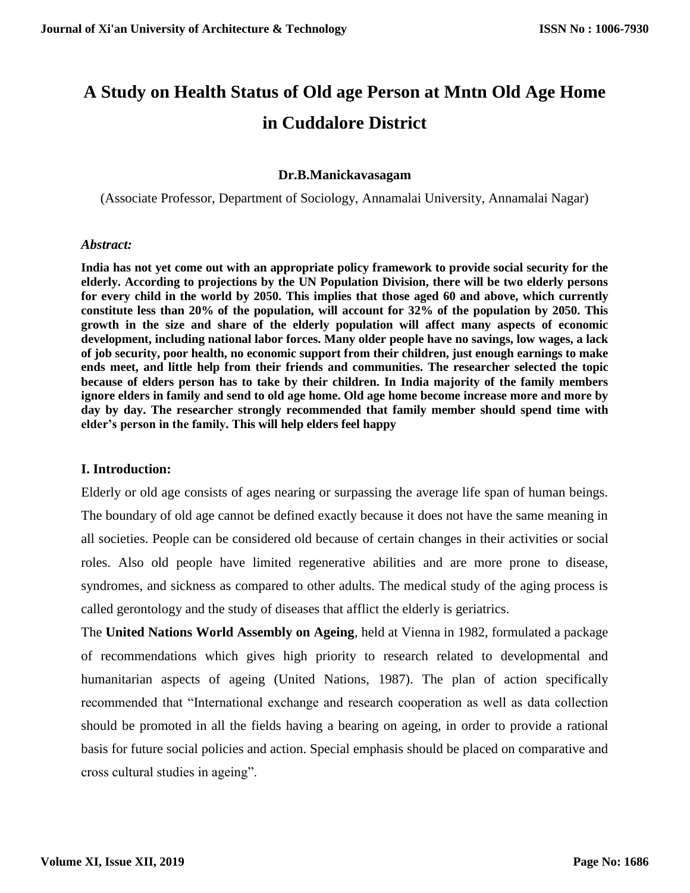# **A Study on Health Status of Old age Person at Mntn Old Age Home in Cuddalore District**

#### **Dr.B.Manickavasagam**

(Associate Professor, Department of Sociology, Annamalai University, Annamalai Nagar)

#### *Abstract:*

**India has not yet come out with an appropriate policy framework to provide social security for the elderly. According to projections by the UN Population Division, there will be two elderly persons for every child in the world by 2050. This implies that those aged 60 and above, which currently constitute less than 20% of the population, will account for 32% of the population by 2050. This growth in the size and share of the elderly population will affect many aspects of economic development, including national labor forces. Many older people have no savings, low wages, a lack of job security, poor health, no economic support from their children, just enough earnings to make ends meet, and little help from their friends and communities. The researcher selected the topic because of elders person has to take by their children. In India majority of the family members ignore elders in family and send to old age home. Old age home become increase more and more by day by day. The researcher strongly recommended that family member should spend time with elder's person in the family. This will help elders feel happy**

#### **I. Introduction:**

Elderly or old age consists of ages nearing or surpassing the average life span of human beings. The boundary of old age cannot be defined exactly because it does not have the same meaning in all societies. People can be considered old because of certain changes in their activities or social roles. Also old people have limited regenerative abilities and are more prone to disease, syndromes, and sickness as compared to other adults. The medical study of the aging process is called gerontology and the study of diseases that afflict the elderly is geriatrics.

The **United Nations World Assembly on Ageing**, held at Vienna in 1982, formulated a package of recommendations which gives high priority to research related to developmental and humanitarian aspects of ageing (United Nations, 1987). The plan of action specifically recommended that "International exchange and research cooperation as well as data collection should be promoted in all the fields having a bearing on ageing, in order to provide a rational basis for future social policies and action. Special emphasis should be placed on comparative and cross cultural studies in ageing".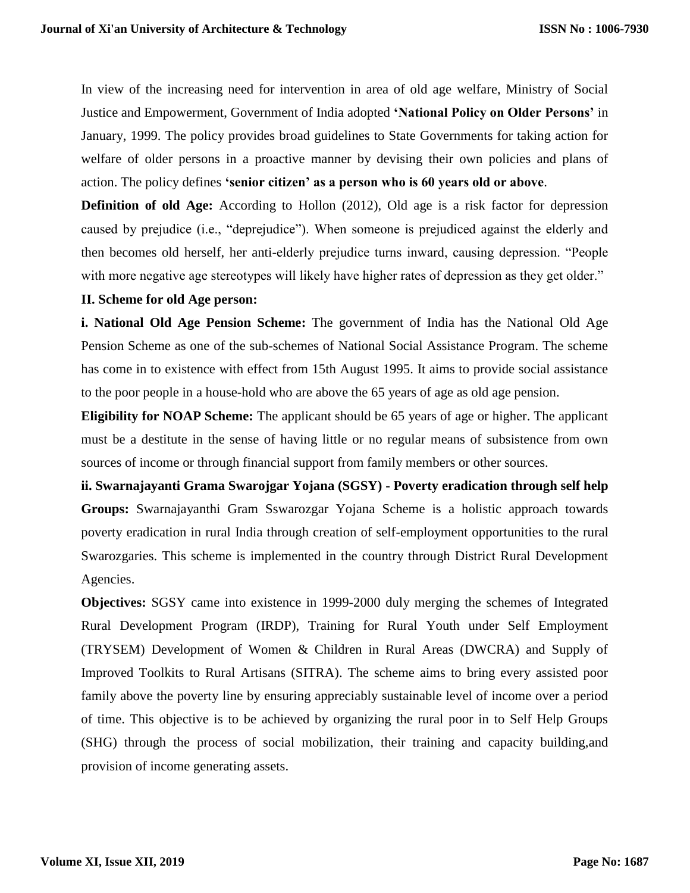In view of the increasing need for intervention in area of old age welfare, Ministry of Social Justice and Empowerment, Government of India adopted **'National Policy on Older Persons'** in January, 1999. The policy provides broad guidelines to State Governments for taking action for welfare of older persons in a proactive manner by devising their own policies and plans of action. The policy defines **'senior citizen' as a person who is 60 years old or above**.

**Definition of old Age:** According to Hollon (2012), Old age is a risk factor for depression caused by prejudice (i.e., "deprejudice"). When someone is prejudiced against the elderly and then becomes old herself, her anti-elderly prejudice turns inward, causing depression. "People with more negative age stereotypes will likely have higher rates of depression as they get older."

#### **II. Scheme for old Age person:**

**i. National Old Age Pension Scheme:** The government of India has the National Old Age Pension Scheme as one of the sub-schemes of National Social Assistance Program. The scheme has come in to existence with effect from 15th August 1995. It aims to provide social assistance to the poor people in a house-hold who are above the 65 years of age as old age pension.

**Eligibility for NOAP Scheme:** The applicant should be 65 years of age or higher. The applicant must be a destitute in the sense of having little or no regular means of subsistence from own sources of income or through financial support from family members or other sources.

**ii. Swarnajayanti Grama Swarojgar Yojana (SGSY) - Poverty eradication through self help Groups:** Swarnajayanthi Gram Sswarozgar Yojana Scheme is a holistic approach towards poverty eradication in rural India through creation of self-employment opportunities to the rural Swarozgaries. This scheme is implemented in the country through District Rural Development Agencies.

**Objectives:** SGSY came into existence in 1999-2000 duly merging the schemes of Integrated Rural Development Program (IRDP), Training for Rural Youth under Self Employment (TRYSEM) Development of Women & Children in Rural Areas (DWCRA) and Supply of Improved Toolkits to Rural Artisans (SITRA). The scheme aims to bring every assisted poor family above the poverty line by ensuring appreciably sustainable level of income over a period of time. This objective is to be achieved by organizing the rural poor in to Self Help Groups (SHG) through the process of social mobilization, their training and capacity building,and provision of income generating assets.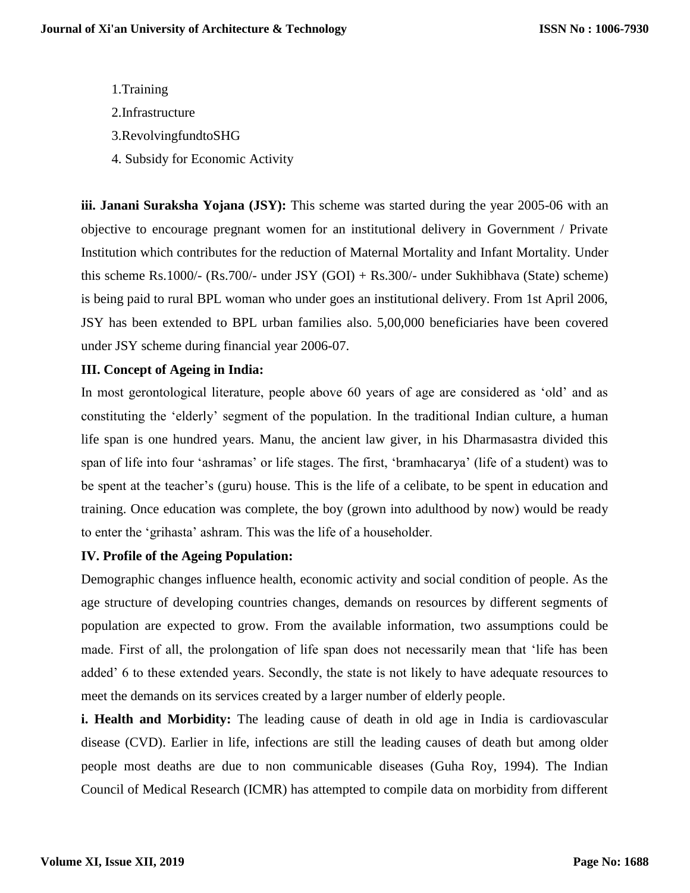1.Training 2.Infrastructure 3.RevolvingfundtoSHG 4. Subsidy for Economic Activity

**iii. Janani Suraksha Yojana (JSY):** This scheme was started during the year 2005-06 with an objective to encourage pregnant women for an institutional delivery in Government / Private Institution which contributes for the reduction of Maternal Mortality and Infant Mortality. Under this scheme Rs.1000/- (Rs.700/- under JSY (GOI) + Rs.300/- under Sukhibhava (State) scheme) is being paid to rural BPL woman who under goes an institutional delivery. From 1st April 2006, JSY has been extended to BPL urban families also. 5,00,000 beneficiaries have been covered under JSY scheme during financial year 2006-07.

# **III. Concept of Ageing in India:**

In most gerontological literature, people above 60 years of age are considered as 'old' and as constituting the 'elderly' segment of the population. In the traditional Indian culture, a human life span is one hundred years. Manu, the ancient law giver, in his Dharmasastra divided this span of life into four 'ashramas' or life stages. The first, 'bramhacarya' (life of a student) was to be spent at the teacher's (guru) house. This is the life of a celibate, to be spent in education and training. Once education was complete, the boy (grown into adulthood by now) would be ready to enter the 'grihasta' ashram. This was the life of a householder.

# **IV. Profile of the Ageing Population:**

Demographic changes influence health, economic activity and social condition of people. As the age structure of developing countries changes, demands on resources by different segments of population are expected to grow. From the available information, two assumptions could be made. First of all, the prolongation of life span does not necessarily mean that 'life has been added' 6 to these extended years. Secondly, the state is not likely to have adequate resources to meet the demands on its services created by a larger number of elderly people.

**i. Health and Morbidity:** The leading cause of death in old age in India is cardiovascular disease (CVD). Earlier in life, infections are still the leading causes of death but among older people most deaths are due to non communicable diseases (Guha Roy, 1994). The Indian Council of Medical Research (ICMR) has attempted to compile data on morbidity from different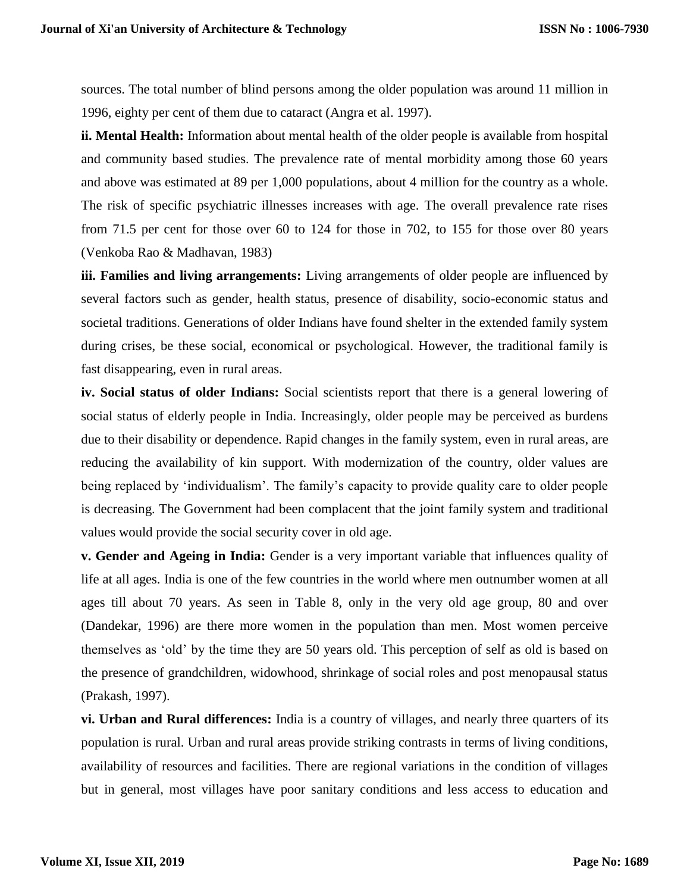sources. The total number of blind persons among the older population was around 11 million in 1996, eighty per cent of them due to cataract (Angra et al. 1997).

**ii. Mental Health:** Information about mental health of the older people is available from hospital and community based studies. The prevalence rate of mental morbidity among those 60 years and above was estimated at 89 per 1,000 populations, about 4 million for the country as a whole. The risk of specific psychiatric illnesses increases with age. The overall prevalence rate rises from 71.5 per cent for those over 60 to 124 for those in 702, to 155 for those over 80 years (Venkoba Rao & Madhavan, 1983)

**iii. Families and living arrangements:** Living arrangements of older people are influenced by several factors such as gender, health status, presence of disability, socio-economic status and societal traditions. Generations of older Indians have found shelter in the extended family system during crises, be these social, economical or psychological. However, the traditional family is fast disappearing, even in rural areas.

**iv. Social status of older Indians:** Social scientists report that there is a general lowering of social status of elderly people in India. Increasingly, older people may be perceived as burdens due to their disability or dependence. Rapid changes in the family system, even in rural areas, are reducing the availability of kin support. With modernization of the country, older values are being replaced by 'individualism'. The family's capacity to provide quality care to older people is decreasing. The Government had been complacent that the joint family system and traditional values would provide the social security cover in old age.

**v. Gender and Ageing in India:** Gender is a very important variable that influences quality of life at all ages. India is one of the few countries in the world where men outnumber women at all ages till about 70 years. As seen in Table 8, only in the very old age group, 80 and over (Dandekar, 1996) are there more women in the population than men. Most women perceive themselves as 'old' by the time they are 50 years old. This perception of self as old is based on the presence of grandchildren, widowhood, shrinkage of social roles and post menopausal status (Prakash, 1997).

**vi. Urban and Rural differences:** India is a country of villages, and nearly three quarters of its population is rural. Urban and rural areas provide striking contrasts in terms of living conditions, availability of resources and facilities. There are regional variations in the condition of villages but in general, most villages have poor sanitary conditions and less access to education and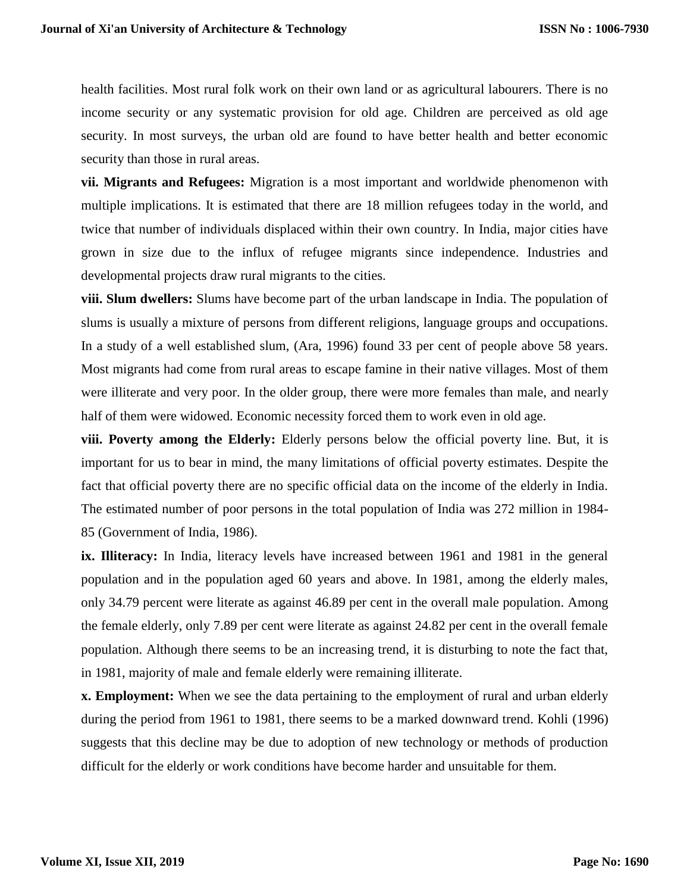health facilities. Most rural folk work on their own land or as agricultural labourers. There is no income security or any systematic provision for old age. Children are perceived as old age security. In most surveys, the urban old are found to have better health and better economic security than those in rural areas.

**vii. Migrants and Refugees:** Migration is a most important and worldwide phenomenon with multiple implications. It is estimated that there are 18 million refugees today in the world, and twice that number of individuals displaced within their own country. In India, major cities have grown in size due to the influx of refugee migrants since independence. Industries and developmental projects draw rural migrants to the cities.

**viii. Slum dwellers:** Slums have become part of the urban landscape in India. The population of slums is usually a mixture of persons from different religions, language groups and occupations. In a study of a well established slum, (Ara, 1996) found 33 per cent of people above 58 years. Most migrants had come from rural areas to escape famine in their native villages. Most of them were illiterate and very poor. In the older group, there were more females than male, and nearly half of them were widowed. Economic necessity forced them to work even in old age.

**viii. Poverty among the Elderly:** Elderly persons below the official poverty line. But, it is important for us to bear in mind, the many limitations of official poverty estimates. Despite the fact that official poverty there are no specific official data on the income of the elderly in India. The estimated number of poor persons in the total population of India was 272 million in 1984- 85 (Government of India, 1986).

**ix. Illiteracy:** In India, literacy levels have increased between 1961 and 1981 in the general population and in the population aged 60 years and above. In 1981, among the elderly males, only 34.79 percent were literate as against 46.89 per cent in the overall male population. Among the female elderly, only 7.89 per cent were literate as against 24.82 per cent in the overall female population. Although there seems to be an increasing trend, it is disturbing to note the fact that, in 1981, majority of male and female elderly were remaining illiterate.

**x. Employment:** When we see the data pertaining to the employment of rural and urban elderly during the period from 1961 to 1981, there seems to be a marked downward trend. Kohli (1996) suggests that this decline may be due to adoption of new technology or methods of production difficult for the elderly or work conditions have become harder and unsuitable for them.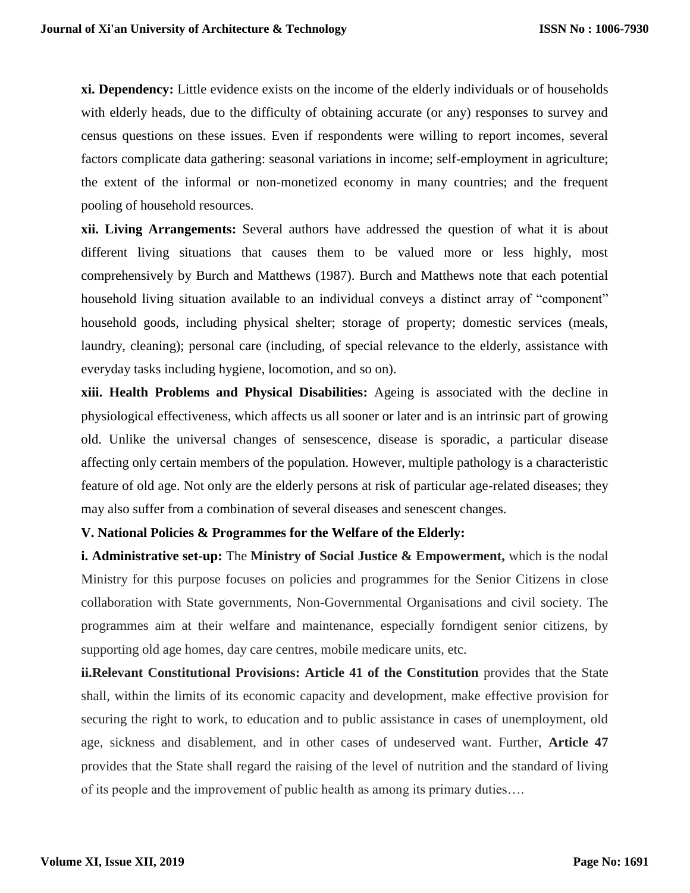**xi. Dependency:** Little evidence exists on the income of the elderly individuals or of households with elderly heads, due to the difficulty of obtaining accurate (or any) responses to survey and census questions on these issues. Even if respondents were willing to report incomes, several factors complicate data gathering: seasonal variations in income; self-employment in agriculture; the extent of the informal or non-monetized economy in many countries; and the frequent pooling of household resources.

**xii. Living Arrangements:** Several authors have addressed the question of what it is about different living situations that causes them to be valued more or less highly, most comprehensively by Burch and Matthews (1987). Burch and Matthews note that each potential household living situation available to an individual conveys a distinct array of "component" household goods, including physical shelter; storage of property; domestic services (meals, laundry, cleaning); personal care (including, of special relevance to the elderly, assistance with everyday tasks including hygiene, locomotion, and so on).

**xiii. Health Problems and Physical Disabilities:** Ageing is associated with the decline in physiological effectiveness, which affects us all sooner or later and is an intrinsic part of growing old. Unlike the universal changes of sensescence, disease is sporadic, a particular disease affecting only certain members of the population. However, multiple pathology is a characteristic feature of old age. Not only are the elderly persons at risk of particular age-related diseases; they may also suffer from a combination of several diseases and senescent changes.

#### **V. National Policies & Programmes for the Welfare of the Elderly:**

**i. Administrative set-up:** The **Ministry of Social Justice & Empowerment,** which is the nodal Ministry for this purpose focuses on policies and programmes for the Senior Citizens in close collaboration with State governments, Non-Governmental Organisations and civil society. The programmes aim at their welfare and maintenance, especially forndigent senior citizens, by supporting old age homes, day care centres, mobile medicare units, etc.

**ii.Relevant Constitutional Provisions: Article 41 of the Constitution** provides that the State shall, within the limits of its economic capacity and development, make effective provision for securing the right to work, to education and to public assistance in cases of unemployment, old age, sickness and disablement, and in other cases of undeserved want. Further, **Article 47**  provides that the State shall regard the raising of the level of nutrition and the standard of living of its people and the improvement of public health as among its primary duties….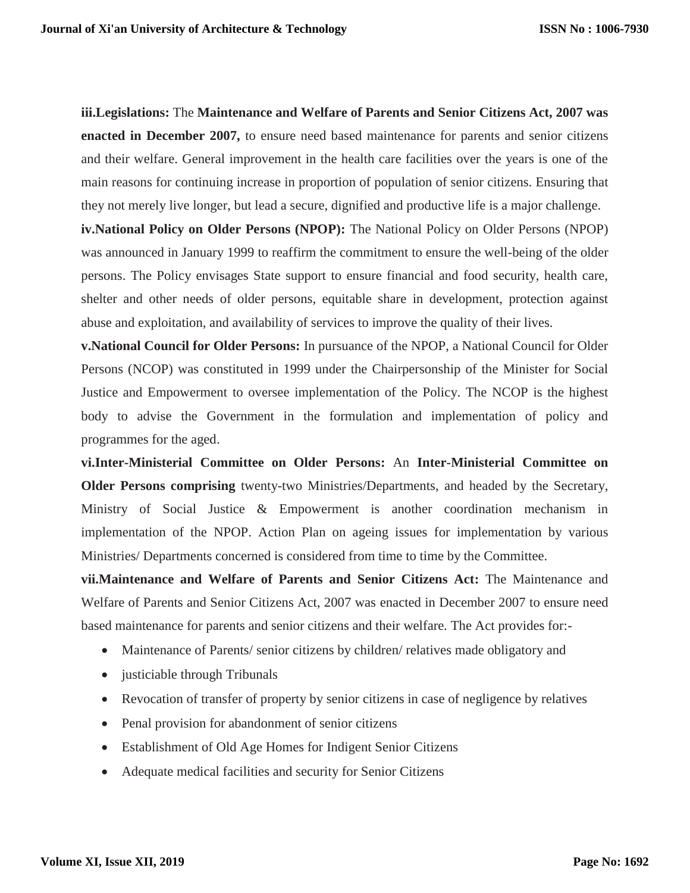**iii.Legislations:** The **Maintenance and Welfare of Parents and Senior Citizens Act, 2007 was enacted in December 2007,** to ensure need based maintenance for parents and senior citizens and their welfare. General improvement in the health care facilities over the years is one of the main reasons for continuing increase in proportion of population of senior citizens. Ensuring that they not merely live longer, but lead a secure, dignified and productive life is a major challenge.

**iv.National Policy on Older Persons (NPOP):** The National Policy on Older Persons (NPOP) was announced in January 1999 to reaffirm the commitment to ensure the well-being of the older persons. The Policy envisages State support to ensure financial and food security, health care, shelter and other needs of older persons, equitable share in development, protection against abuse and exploitation, and availability of services to improve the quality of their lives.

**v.National Council for Older Persons:** In pursuance of the NPOP, a National Council for Older Persons (NCOP) was constituted in 1999 under the Chairpersonship of the Minister for Social Justice and Empowerment to oversee implementation of the Policy. The NCOP is the highest body to advise the Government in the formulation and implementation of policy and programmes for the aged.

**vi.Inter-Ministerial Committee on Older Persons:** An **Inter-Ministerial Committee on Older Persons comprising** twenty-two Ministries/Departments, and headed by the Secretary, Ministry of Social Justice & Empowerment is another coordination mechanism in implementation of the NPOP. Action Plan on ageing issues for implementation by various Ministries/ Departments concerned is considered from time to time by the Committee.

**vii.Maintenance and Welfare of Parents and Senior Citizens Act:** The Maintenance and Welfare of Parents and Senior Citizens Act, 2007 was enacted in December 2007 to ensure need based maintenance for parents and senior citizens and their welfare. The Act provides for:-

- Maintenance of Parents/ senior citizens by children/ relatives made obligatory and
- justiciable through Tribunals
- Revocation of transfer of property by senior citizens in case of negligence by relatives
- Penal provision for abandonment of senior citizens
- Establishment of Old Age Homes for Indigent Senior Citizens
- Adequate medical facilities and security for Senior Citizens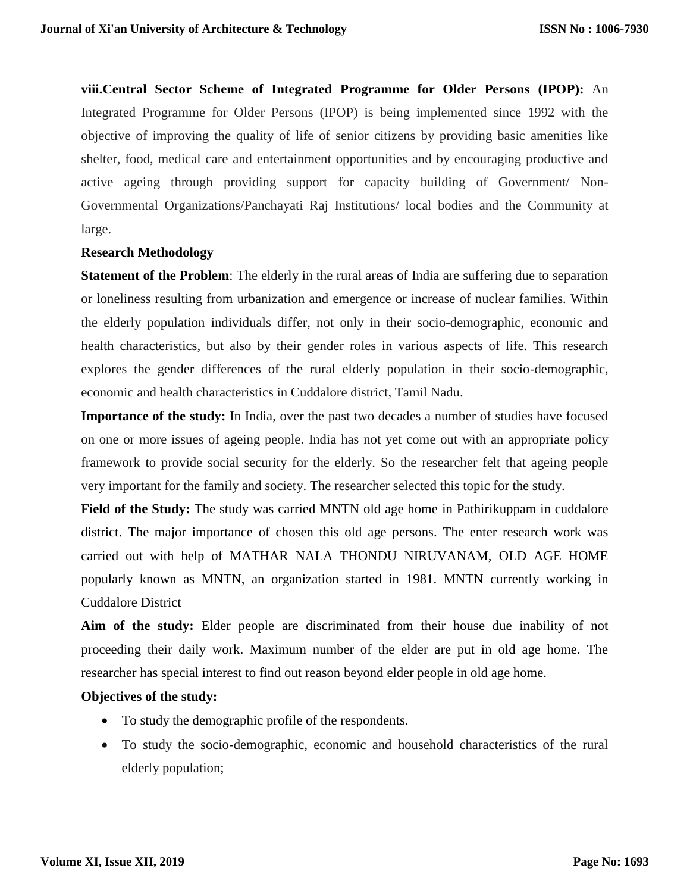**viii.Central Sector Scheme of Integrated Programme for Older Persons (IPOP):** An Integrated Programme for Older Persons (IPOP) is being implemented since 1992 with the objective of improving the quality of life of senior citizens by providing basic amenities like shelter, food, medical care and entertainment opportunities and by encouraging productive and active ageing through providing support for capacity building of Government/ Non-Governmental Organizations/Panchayati Raj Institutions/ local bodies and the Community at large.

#### **Research Methodology**

**Statement of the Problem**: The elderly in the rural areas of India are suffering due to separation or loneliness resulting from urbanization and emergence or increase of nuclear families. Within the elderly population individuals differ, not only in their socio-demographic, economic and health characteristics, but also by their gender roles in various aspects of life. This research explores the gender differences of the rural elderly population in their socio-demographic, economic and health characteristics in Cuddalore district, Tamil Nadu.

**Importance of the study:** In India, over the past two decades a number of studies have focused on one or more issues of ageing people. India has not yet come out with an appropriate policy framework to provide social security for the elderly. So the researcher felt that ageing people very important for the family and society. The researcher selected this topic for the study.

**Field of the Study:** The study was carried MNTN old age home in Pathirikuppam in cuddalore district. The major importance of chosen this old age persons. The enter research work was carried out with help of MATHAR NALA THONDU NIRUVANAM, OLD AGE HOME popularly known as MNTN, an organization started in 1981. MNTN currently working in Cuddalore District

**Aim of the study:** Elder people are discriminated from their house due inability of not proceeding their daily work. Maximum number of the elder are put in old age home. The researcher has special interest to find out reason beyond elder people in old age home.

#### **Objectives of the study:**

- To study the demographic profile of the respondents.
- To study the socio-demographic, economic and household characteristics of the rural elderly population;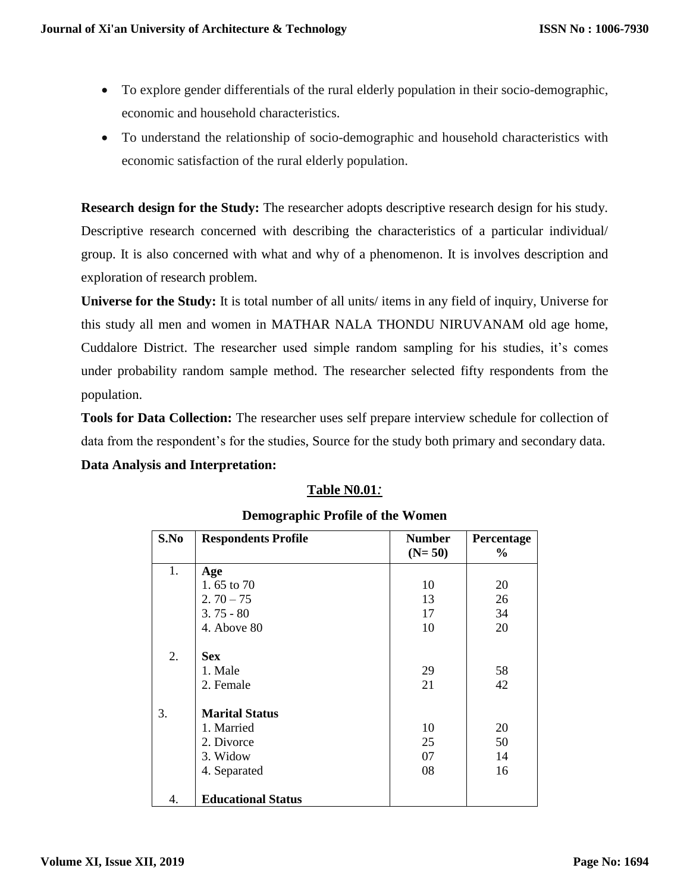- To explore gender differentials of the rural elderly population in their socio-demographic, economic and household characteristics.
- To understand the relationship of socio-demographic and household characteristics with economic satisfaction of the rural elderly population.

**Research design for the Study:** The researcher adopts descriptive research design for his study. Descriptive research concerned with describing the characteristics of a particular individual/ group. It is also concerned with what and why of a phenomenon. It is involves description and exploration of research problem.

**Universe for the Study:** It is total number of all units/ items in any field of inquiry, Universe for this study all men and women in MATHAR NALA THONDU NIRUVANAM old age home, Cuddalore District. The researcher used simple random sampling for his studies, it's comes under probability random sample method. The researcher selected fifty respondents from the population.

**Tools for Data Collection:** The researcher uses self prepare interview schedule for collection of data from the respondent's for the studies, Source for the study both primary and secondary data. **Data Analysis and Interpretation:**

# **Table N0.01***:*

| S.No | <b>Respondents Profile</b> | <b>Number</b><br>$(N=50)$ | Percentage<br>$\%$ |
|------|----------------------------|---------------------------|--------------------|
| 1.   | Age                        |                           |                    |
|      | 1.65 to 70                 | 10                        | 20                 |
|      | $2.70 - 75$                | 13                        | 26                 |
|      | $3.75 - 80$                | 17                        | 34                 |
|      | 4. Above 80                | 10                        | 20                 |
| 2.   | <b>Sex</b>                 |                           |                    |
|      | 1. Male                    | 29                        | 58                 |
|      | 2. Female                  | 21                        | 42                 |
| 3.   | <b>Marital Status</b>      |                           |                    |
|      | 1. Married                 | 10                        | 20                 |
|      | 2. Divorce                 | 25                        | 50                 |
|      | 3. Widow                   | 07                        | 14                 |
|      | 4. Separated               | 08                        | 16                 |
| 4.   | <b>Educational Status</b>  |                           |                    |

## **Demographic Profile of the Women**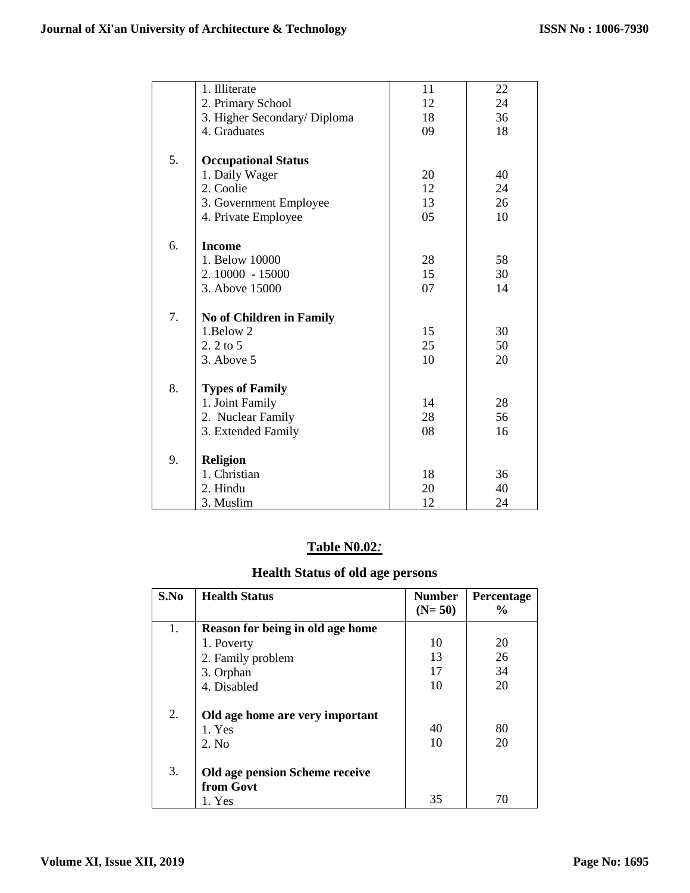|    | 1. Illiterate                   | 11 | 22 |
|----|---------------------------------|----|----|
|    | 2. Primary School               | 12 | 24 |
|    | 3. Higher Secondary/ Diploma    | 18 | 36 |
|    | 4. Graduates                    | 09 | 18 |
|    |                                 |    |    |
| 5. | <b>Occupational Status</b>      |    |    |
|    | 1. Daily Wager                  | 20 | 40 |
|    | 2. Coolie                       | 12 | 24 |
|    | 3. Government Employee          | 13 | 26 |
|    | 4. Private Employee             | 05 | 10 |
|    |                                 |    |    |
| 6. | <b>Income</b>                   |    |    |
|    | 1. Below 10000                  | 28 | 58 |
|    | 2.10000 - 15000                 | 15 | 30 |
|    | 3. Above 15000                  | 07 | 14 |
|    |                                 |    |    |
| 7. | <b>No of Children in Family</b> |    |    |
|    | 1.Below 2                       | 15 | 30 |
|    | $2.2$ to $5$                    | 25 | 50 |
|    | 3. Above 5                      | 10 | 20 |
|    |                                 |    |    |
| 8. | <b>Types of Family</b>          |    |    |
|    | 1. Joint Family                 | 14 | 28 |
|    | 2. Nuclear Family               | 28 | 56 |
|    | 3. Extended Family              | 08 | 16 |
|    |                                 |    |    |
| 9. | <b>Religion</b>                 |    |    |
|    | 1. Christian                    | 18 | 36 |
|    | 2. Hindu                        | 20 | 40 |
|    | 3. Muslim                       | 12 | 24 |

# **Table N0.02***:*

# **Health Status of old age persons**

| S.No | <b>Health Status</b>                      | <b>Number</b> | Percentage    |
|------|-------------------------------------------|---------------|---------------|
|      |                                           | $(N=50)$      | $\frac{0}{0}$ |
| 1.   | Reason for being in old age home          |               |               |
|      | 1. Poverty                                | 10            | 20            |
|      | 2. Family problem                         | 13            | 26            |
|      | 3. Orphan                                 | 17            | 34            |
|      | 4. Disabled                               | 10            | 20            |
| 2.   | Old age home are very important<br>1. Yes | 40            | 80            |
|      | 2. No                                     | 10            | 20            |
|      |                                           |               |               |
| 3.   | Old age pension Scheme receive            |               |               |
|      | from Govt                                 |               |               |
|      | 1. Yes                                    | 35            | 70            |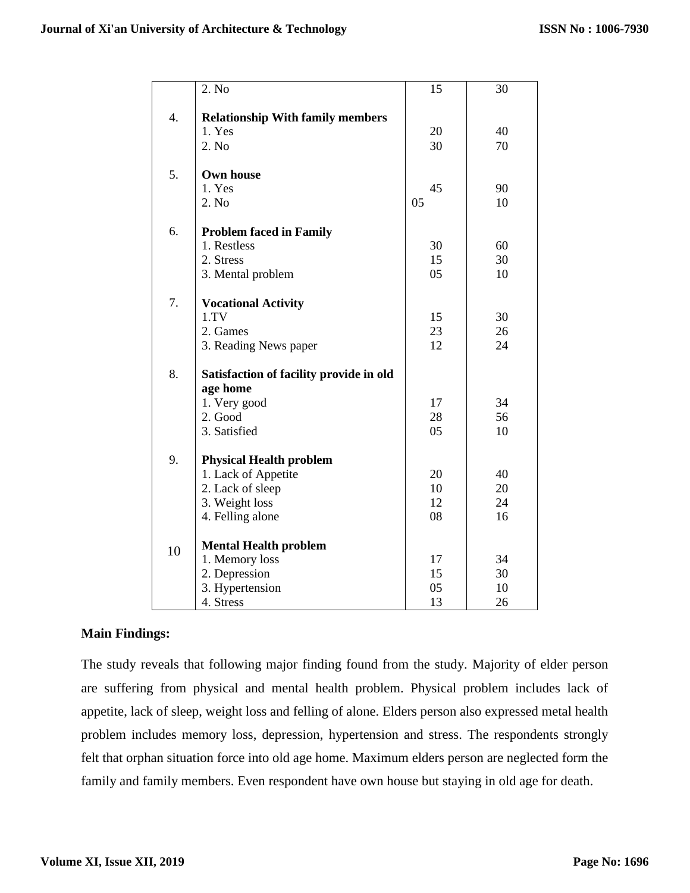|    | 2. No                                                                                                           | 15                   | 30                   |
|----|-----------------------------------------------------------------------------------------------------------------|----------------------|----------------------|
| 4. | <b>Relationship With family members</b><br>1. Yes<br>2. No                                                      | 20<br>30             | 40<br>70             |
| 5. | <b>Own house</b><br>1. Yes<br>2. No                                                                             | 45<br>05             | 90<br>10             |
| 6. | <b>Problem faced in Family</b><br>1. Restless<br>2. Stress<br>3. Mental problem                                 | 30<br>15<br>05       | 60<br>30<br>10       |
| 7. | <b>Vocational Activity</b><br>1. TV<br>2. Games<br>3. Reading News paper                                        | 15<br>23<br>12       | 30<br>26<br>24       |
| 8. | Satisfaction of facility provide in old<br>age home<br>1. Very good<br>2. Good<br>3. Satisfied                  | 17<br>28<br>05       | 34<br>56<br>10       |
| 9. | <b>Physical Health problem</b><br>1. Lack of Appetite<br>2. Lack of sleep<br>3. Weight loss<br>4. Felling alone | 20<br>10<br>12<br>08 | 40<br>20<br>24<br>16 |
| 10 | <b>Mental Health problem</b><br>1. Memory loss<br>2. Depression<br>3. Hypertension<br>4. Stress                 | 17<br>15<br>05<br>13 | 34<br>30<br>10<br>26 |

# **Main Findings:**

The study reveals that following major finding found from the study. Majority of elder person are suffering from physical and mental health problem. Physical problem includes lack of appetite, lack of sleep, weight loss and felling of alone. Elders person also expressed metal health problem includes memory loss, depression, hypertension and stress. The respondents strongly felt that orphan situation force into old age home. Maximum elders person are neglected form the family and family members. Even respondent have own house but staying in old age for death.